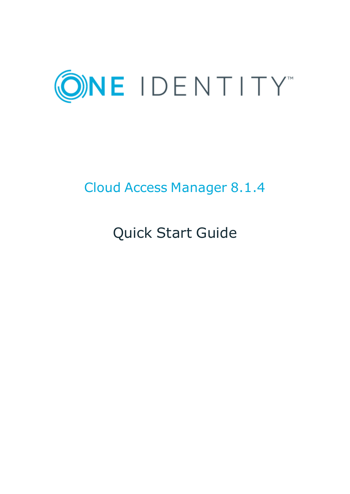

# Cloud Access Manager 8.1.4

Quick Start Guide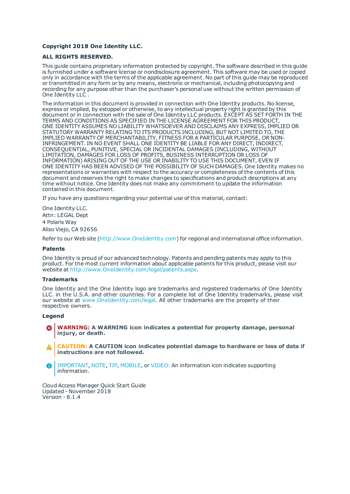### **Copyright 2018 One Identity LLC.**

### **ALL RIGHTS RESERVED.**

This guide contains proprietary information protected by copyright. The software described in this guide is furnished under a software license or nondisclosure agreement. This software may be used or copied only in accordance with the terms of the applicable agreement. No part of this guide may be reproduced or transmitted in any form or by any means, electronic or mechanical, including photocopying and recording for any purpose other than the purchaser's personal use without the written permission of One Identity LLC .

The information in this document is provided in connection with One Identity products. No license, express or implied, by estoppel or otherwise, to any intellectual property right is granted by this document or in connection with the sale of One Identity LLC products. EXCEPT AS SET FORTH IN THE TERMS AND CONDITIONS AS SPECIFIED IN THE LICENSE AGREEMENT FOR THIS PRODUCT, ONE IDENTITY ASSUMES NO LIABILITY WHATSOEVER AND DISCLAIMS ANY EXPRESS, IMPLIED OR STATUTORY WARRANTY RELATING TO ITS PRODUCTS INCLUDING, BUT NOT LIMITED TO, THE IMPLIED WARRANTY OF MERCHANTABILITY, FITNESS FOR A PARTICULAR PURPOSE, OR NON-INFRINGEMENT. IN NO EVENT SHALL ONE IDENTITY BE LIABLE FOR ANY DIRECT, INDIRECT, CONSEQUENTIAL, PUNITIVE, SPECIAL OR INCIDENTAL DAMAGES (INCLUDING, WITHOUT LIMITATION, DAMAGES FOR LOSS OF PROFITS, BUSINESS INTERRUPTION OR LOSS OF INFORMATION) ARISING OUT OF THE USE OR INABILITY TO USE THIS DOCUMENT, EVEN IF ONE IDENTITY HAS BEEN ADVISED OF THE POSSIBILITY OF SUCH DAMAGES. One Identity makes no representations or warranties with respect to the accuracy or completeness of the contents of this document and reserves the right to make changes to specifications and product descriptions at any time without notice. One Identity does not make any commitment to update the information contained in this document.

If you have any questions regarding your potential use of this material, contact:

One Identity LLC. Attn: LEGAL Dept 4 Polaris Way Aliso Viejo, CA 92656

Refer to our Web site ([http://www.OneIdentity.com](http://www.oneidentity.com/)) for regional and international office information.

### **Patents**

One Identity is proud of our advanced technology. Patents and pending patents may apply to this product. For the most current information about applicable patents for this product, please visit our website at [http://www.OneIdentity.com/legal/patents.aspx](http://www.oneidentity.com/legal/patents.aspx).

#### **Trademarks**

One Identity and the One Identity logo are trademarks and registered trademarks of One Identity LLC. in the U.S.A. and other countries. For a complete list of One Identity trademarks, please visit our website at [www.OneIdentity.com/legal](http://www.oneidentity.com/legal). All other trademarks are the property of their respective owners.

#### **Legend**

- **WARNING: A WARNING icon indicates a potential for property damage, personal injury, or death.**
- **CAUTION: A CAUTION icon indicates potential damage to hardware or loss of data if instructions are not followed.**
- IMPORTANT, NOTE, TIP, MOBILE, or VIDEO: An information icon indicates supporting Œ information.

Cloud Access Manager Quick Start Guide Updated - November 2018 Version - 8.1.4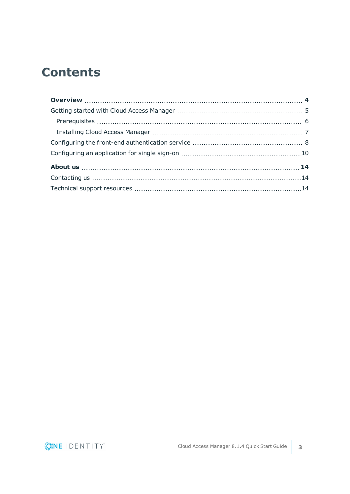# **Contents**

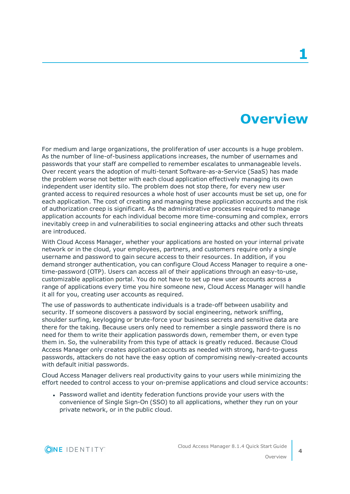## **Overview**

<span id="page-3-0"></span>For medium and large organizations, the proliferation of user accounts is a huge problem. As the number of line-of-business applications increases, the number of usernames and passwords that your staff are compelled to remember escalates to unmanageable levels. Over recent years the adoption of multi-tenant Software-as-a-Service (SaaS) has made the problem worse not better with each cloud application effectively managing its own independent user identity silo. The problem does not stop there, for every new user granted access to required resources a whole host of user accounts must be set up, one for each application. The cost of creating and managing these application accounts and the risk of authorization creep is significant. As the administrative processes required to manage application accounts for each individual become more time-consuming and complex, errors inevitably creep in and vulnerabilities to social engineering attacks and other such threats are introduced.

With Cloud Access Manager, whether your applications are hosted on your internal private network or in the cloud, your employees, partners, and customers require only a single username and password to gain secure access to their resources. In addition, if you demand stronger authentication, you can configure Cloud Access Manager to require a onetime-password (OTP). Users can access all of their applications through an easy-to-use, customizable application portal. You do not have to set up new user accounts across a range of applications every time you hire someone new, Cloud Access Manager will handle it all for you, creating user accounts as required.

The use of passwords to authenticate individuals is a trade-off between usability and security. If someone discovers a password by social engineering, network sniffing, shoulder surfing, keylogging or brute-force your business secrets and sensitive data are there for the taking. Because users only need to remember a single password there is no need for them to write their application passwords down, remember them, or even type them in. So, the vulnerability from this type of attack is greatly reduced. Because Cloud Access Manager only creates application accounts as needed with strong, hard-to-guess passwords, attackers do not have the easy option of compromising newly-created accounts with default initial passwords.

Cloud Access Manager delivers real productivity gains to your users while minimizing the effort needed to control access to your on-premise applications and cloud service accounts:

• Password wallet and identity federation functions provide your users with the convenience of Single Sign-On (SSO) to all applications, whether they run on your private network, or in the public cloud.



**4**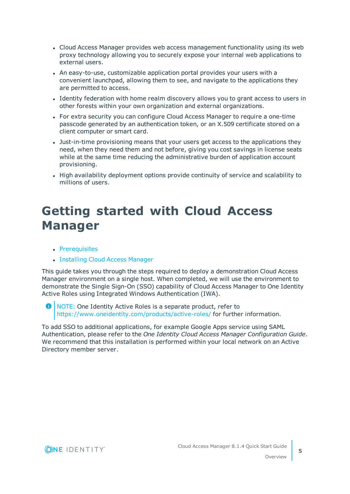- Cloud Access Manager provides web access management functionality using its web proxy technology allowing you to securely expose your internal web applications to external users.
- An easy-to-use, customizable application portal provides your users with a convenient launchpad, allowing them to see, and navigate to the applications they are permitted to access.
- Identity federation with home realm discovery allows you to grant access to users in other forests within your own organization and external organizations.
- For extra security you can configure Cloud Access Manager to require a one-time passcode generated by an authentication token, or an X.509 certificate stored on a client computer or smart card.
- Just-in-time provisioning means that your users get access to the applications they need, when they need them and not before, giving you cost savings in license seats while at the same time reducing the administrative burden of application account provisioning.
- High availability deployment options provide continuity of service and scalability to millions of users.

## <span id="page-4-0"></span>**Getting started with Cloud Access Manager**

- [Prerequisites](#page-5-0)
- [Installing](#page-6-0) Cloud Access Manager

This guide takes you through the steps required to deploy a demonstration Cloud Access Manager environment on a single host. When completed, we will use the environment to demonstrate the Single Sign-On (SSO) capability of Cloud Access Manager to One Identity Active Roles using Integrated Windows Authentication (IWA).

NOTE: One Identity Active Roles is a separate product, refer to Œ [https://www.oneidentity.com/products/active-roles/](https://www.quest.com/products/active-roles/) for further information.

To add SSO to additional applications, for example Google Apps service using SAML Authentication, please refer to the *One Identity Cloud Access Manager Configuration Guide*. We recommend that this installation is performed within your local network on an Active Directory member server.

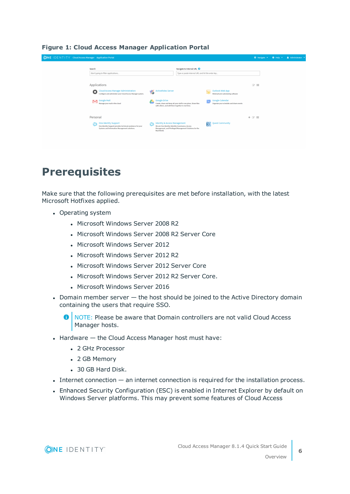| <b>ONE IDENTITY</b> Cloud Access Manager Application Portal |                                                                                                                                                                                           |                                                                                                                  |                                                                                           |                                                                                                                                | O Navigate v          | $\odot$ Help $\sim$ | & Administrator |
|-------------------------------------------------------------|-------------------------------------------------------------------------------------------------------------------------------------------------------------------------------------------|------------------------------------------------------------------------------------------------------------------|-------------------------------------------------------------------------------------------|--------------------------------------------------------------------------------------------------------------------------------|-----------------------|---------------------|-----------------|
|                                                             | Search<br>Start typing to filter applications                                                                                                                                             |                                                                                                                  | Navigate to Internal URL <sup>O</sup><br>Type or paste internal URL and hit the enter key |                                                                                                                                |                       |                     |                 |
|                                                             | Applications<br><b>Cloud Access Manager Administration</b><br>Ð<br>Configure and administer your Cloud Access Manager system.<br><b>Google Mail</b><br>∾<br>Manage your mail in the cloud | <b>ActiveRoles Server</b><br>Ğ<br><b>Google Drive</b><br>with others, and edit them together in real time.       | Create, share and keep all your stuff in one place. Share files                           | Outlook Web App<br>Webmail and calendaring software<br><b>Google Calendar</b><br>31<br>Organize your schedule and share events | $\alpha$ iii          |                     |                 |
|                                                             | Personal<br>One Identity Support<br>One Identity Support provides technical assistance for your<br>Systems and Information Management solutions.                                          | <b>Identity &amp; Access Management</b><br>We are One Identity: Identity Governance, Access<br><b>Real World</b> | Management, and Privileged Management Solutions for the                                   | <b>Quest Community</b><br>D.                                                                                                   | $+$ $\alpha$ $\equiv$ |                     |                 |

## **Figure 1: Cloud Access Manager Application Portal**

## <span id="page-5-0"></span>**Prerequisites**

Make sure that the following prerequisites are met before installation, with the latest Microsoft Hotfixes applied.

- Operating system
	- Microsoft Windows Server 2008 R2
	- Microsoft Windows Server 2008 R2 Server Core
	- Microsoft Windows Server 2012
	- Microsoft Windows Server 2012 R2
	- Microsoft Windows Server 2012 Server Core
	- Microsoft Windows Server 2012 R2 Server Core.
	- Microsoft Windows Server 2016
- Domain member server  $-$  the host should be joined to the Active Directory domain containing the users that require SSO.

**O** NOTE: Please be aware that Domain controllers are not valid Cloud Access Manager hosts.

- $\bullet$  Hardware  $-$  the Cloud Access Manager host must have:
	- 2 GHz Processor
	- 2 GB Memory
	- 30 GB Hard Disk.
- $\bullet$  Internet connection  $-$  an internet connection is required for the installation process.
- Enhanced Security Configuration (ESC) is enabled in Internet Explorer by default on Windows Server platforms. This may prevent some features of Cloud Access



Overview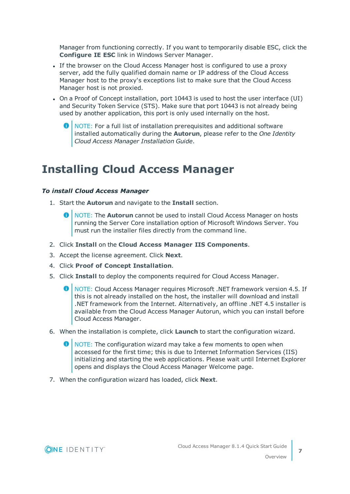Manager from functioning correctly. If you want to temporarily disable ESC, click the **Configure IE ESC** link in Windows Server Manager.

- If the browser on the Cloud Access Manager host is configured to use a proxy server, add the fully qualified domain name or IP address of the Cloud Access Manager host to the proxy's exceptions list to make sure that the Cloud Access Manager host is not proxied.
- On a Proof of Concept installation, port 10443 is used to host the user interface (UI) and Security Token Service (STS). Make sure that port 10443 is not already being used by another application, this port is only used internally on the host.
	- **O** NOTE: For a full list of installation prerequisites and additional software installed automatically during the **Autorun**, please refer to the *One Identity Cloud Access Manager Installation Guide*.

## <span id="page-6-0"></span>**Installing Cloud Access Manager**

### *To install Cloud Access Manager*

- 1. Start the **Autorun** and navigate to the **Install** section.
	- NOTE: The **Autorun** cannot be used to install Cloud Access Manager on hosts running the Server Core installation option of Microsoft Windows Server. You must run the installer files directly from the command line.
- 2. Click **Install** on the **Cloud Access Manager IIS Components**.
- 3. Accept the license agreement. Click **Next**.
- 4. Click **Proof of Concept Installation**.
- 5. Click **Install** to deploy the components required for Cloud Access Manager.
	- 0 NOTE: Cloud Access Manager requires Microsoft .NET framework version 4.5. If this is not already installed on the host, the installer will download and install .NET framework from the Internet. Alternatively, an offline .NET 4.5 installer is available from the Cloud Access Manager Autorun, which you can install before Cloud Access Manager.
- 6. When the installation is complete, click **Launch** to start the configuration wizard.
	- $\bigcirc$  NOTE: The configuration wizard may take a few moments to open when accessed for the first time; this is due to Internet Information Services (IIS) initializing and starting the web applications. Please wait until Internet Explorer opens and displays the Cloud Access Manager Welcome page.
- 7. When the configuration wizard has loaded, click **Next**.

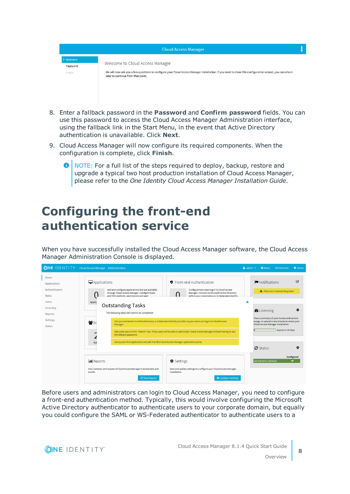|                                 | <b>Cloud Access Manager</b>                                                                                                                                                                                                      |  |
|---------------------------------|----------------------------------------------------------------------------------------------------------------------------------------------------------------------------------------------------------------------------------|--|
| > Welcome<br>Password<br>Finish | Welcome to Cloud Access Manager<br>We will now ask you a few questions to configure your Cloud Access Manager installation. If you need to close this configuration wizard, you can return<br>later to continue from that point. |  |

- 8. Enter a fallback password in the **Password** and **Confirm password** fields. You can use this password to access the Cloud Access Manager Administration interface, using the fallback link in the Start Menu, in the event that Active Directory authentication is unavailable. Click **Next**.
- 9. Cloud Access Manager will now configure its required components. When the configuration is complete, click **Finish**.
	- $\bigcirc$  NOTE: For a full list of the steps required to deploy, backup, restore and upgrade a typical two host production installation of Cloud Access Manager, please refer to the *One Identity Cloud Access Manager Installation Guide*.

# <span id="page-7-0"></span>**Configuring the front-end authentication service**

When you have successfully installed the Cloud Access Manager software, the Cloud Access Manager Administration Console is displayed.

|                                                                                                        | <b>ONE IDENTITY</b> Cloud Access Manager Administration                                                                                                                                                                                                                                                                                                                                                                                                                                                                                                                                                                                                                                                                                             | $\Delta$ admin $\blacktriangledown$<br><b>@</b> About E Shortcuts<br>Status <b>Constant</b>                                                                                                                                                                         |
|--------------------------------------------------------------------------------------------------------|-----------------------------------------------------------------------------------------------------------------------------------------------------------------------------------------------------------------------------------------------------------------------------------------------------------------------------------------------------------------------------------------------------------------------------------------------------------------------------------------------------------------------------------------------------------------------------------------------------------------------------------------------------------------------------------------------------------------------------------------------------|---------------------------------------------------------------------------------------------------------------------------------------------------------------------------------------------------------------------------------------------------------------------|
| Home<br>Applications<br>Authenticators<br>Roles<br>Users<br>Licensing<br>Reports<br>Settings<br>Status | $\Box$ Applications<br>● Front-end Authentication<br>Add and configure applications that are available<br>Configure how users log in to Cloud Access<br>through Cloud Access Manager. Configure back-<br>Manager. Connect to Microsoft Active Directory<br>within your organization or to federated identity<br>end SSO methods, permissions and user<br>Applic:<br><b>Outstanding Tasks</b><br>The following tasks still need to be completed:<br>Set up a connection to Active Directory or a federated identity provider so your users can log in to Cloud Access<br><b>RC</b> RC<br>Manager.<br>Add some users to the "Admin" role. These users will be able to administer Cloud Access Manager without having to use<br>the fallback password. | $\overline{a}$<br>Notifications<br>A There are 3 outstanding tasks<br>×<br>o<br><b><i>B</i></b> Licensing<br>View a summary of your license and current<br>usage, or upload a new license to renew your<br>Cloud Access Manager installation.<br>Expires in 29 days |
|                                                                                                        | Set up your first application and add it to the Cloud Access Manager application portal.<br>Rol<br>Settings<br><b>III</b> Reports<br>View statistics and reports of Cloud Access Manager's stored data and<br>View and update settings to configure your Cloud Access Manager                                                                                                                                                                                                                                                                                                                                                                                                                                                                       | o<br>$C$ Status<br>Configured<br>camod.dom1.def.local<br>✔                                                                                                                                                                                                          |
|                                                                                                        | installation.<br>events.<br><b><i>C</i></b> View Reports<br>Configure Settings                                                                                                                                                                                                                                                                                                                                                                                                                                                                                                                                                                                                                                                                      |                                                                                                                                                                                                                                                                     |

Before users and administrators can login to Cloud Access Manager, you need to configure a front-end authentication method. Typically, this would involve configuring the Microsoft Active Directory authenticator to authenticate users to your corporate domain, but equally you could configure the SAML or WS-Federated authenticator to authenticate users to a



**8**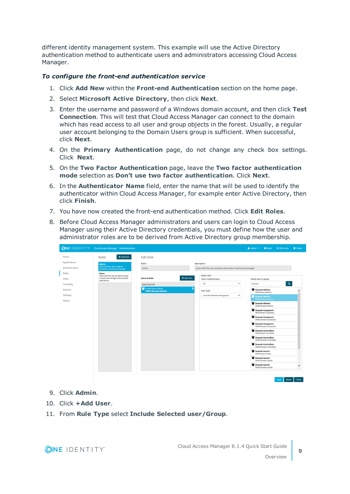different identity management system. This example will use the Active Directory authentication method to authenticate users and administrators accessing Cloud Access Manager.

## *To configure the front-end authentication service*

- 1. Click **Add New** within the **Front-end Authentication** section on the home page.
- 2. Select **Microsoft Active Directory**, then click **Next**.
- 3. Enter the username and password of a Windows domain account, and then click **Test Connection**. This will test that Cloud Access Manager can connect to the domain which has read access to all user and group objects in the forest. Usually, a regular user account belonging to the Domain Users group is sufficient. When successful, click **Next**.
- 4. On the **Primary Authentication** page, do not change any check box settings. Click **Next**.
- 5. On the **Two Factor Authentication** page, leave the **Two factor authentication mode** selection as **Don't use two factor authentication**. Click **Next**.
- 6. In the **Authenticator Name** field, enter the name that will be used to identify the authenticator within Cloud Access Manager, for example enter Active Directory, then click **Finish**.
- 7. You have now created the front-end authentication method. Click **Edit Roles**.
- 8. Before Cloud Access Manager administrators and users can login to Cloud Access Manager using their Active Directory credentials, you must define how the user and administrator roles are to be derived from Active Directory group membership.



- 9. Click **Admin**.
- 10. Click **+Add User**.
- 11. From **Rule Type** select **Include Selected user/Group**.

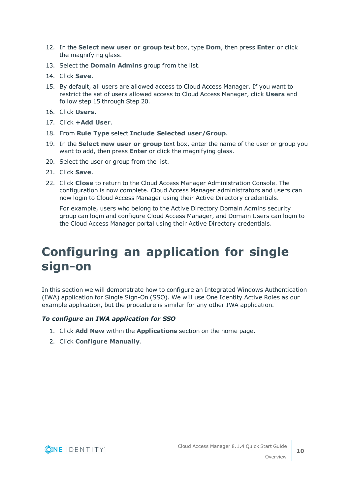- 12. In the **Select new user or group** text box, type **Dom**, then press **Enter** or click the magnifying glass.
- 13. Select the **Domain Admins** group from the list.
- 14. Click **Save**.
- 15. By default, all users are allowed access to Cloud Access Manager. If you want to restrict the set of users allowed access to Cloud Access Manager, click **Users** and follow step 15 through Step 20.
- 16. Click **Users**.
- 17. Click **+Add User**.
- 18. From **Rule Type** select **Include Selected user/Group**.
- 19. In the **Select new user or group** text box, enter the name of the user or group you want to add, then press **Enter** or click the magnifying glass.
- 20. Select the user or group from the list.
- 21. Click **Save**.
- 22. Click **Close** to return to the Cloud Access Manager Administration Console. The configuration is now complete. Cloud Access Manager administrators and users can now login to Cloud Access Manager using their Active Directory credentials.

For example, users who belong to the Active Directory Domain Admins security group can login and configure Cloud Access Manager, and Domain Users can login to the Cloud Access Manager portal using their Active Directory credentials.

# <span id="page-9-0"></span>**Configuring an application for single sign-on**

In this section we will demonstrate how to configure an Integrated Windows Authentication (IWA) application for Single Sign-On (SSO). We will use One Identity Active Roles as our example application, but the procedure is similar for any other IWA application.

## *To configure an IWA application for SSO*

- 1. Click **Add New** within the **Applications** section on the home page.
- 2. Click **Configure Manually**.

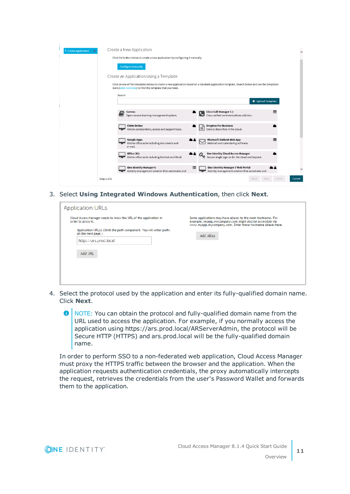| <b>Create Application</b> | Create a New Application                                                                                                                                                                                   | $\wedge$ |  |  |
|---------------------------|------------------------------------------------------------------------------------------------------------------------------------------------------------------------------------------------------------|----------|--|--|
|                           | Click the button below to create a new application by configuring it manually                                                                                                                              |          |  |  |
|                           | <b>Configure Manually</b>                                                                                                                                                                                  |          |  |  |
|                           | Create an Application Using a Template                                                                                                                                                                     |          |  |  |
|                           | Click on one of the templates below to create a new application based on a standard application template. Search below and use the templates<br>icons (view icons key) to find the template that you need. |          |  |  |
|                           | Search                                                                                                                                                                                                     |          |  |  |
|                           | ← Upload Template                                                                                                                                                                                          |          |  |  |
|                           | <b>Cisco Call Manager 7.1</b><br>Canvas<br>肩<br>Ξ<br>Open-source learning management system.<br>Cisco unified communications solution.                                                                     |          |  |  |
|                           | <b>Citrix Online</b><br><b>Dropbox For Business</b><br>₽<br>Store & share files in the cloud.<br>Online collaboration, access and support tools.                                                           |          |  |  |
|                           | $\blacksquare$<br><b>Google Apps</b><br><b>Microsoft Outlook Web App</b><br>Webmail and calendaring software.<br>Online office suite including documents and<br>e-mail.                                    |          |  |  |
|                           | Office 365<br>One Identity Cloud Access Manager<br>Secure single sign-on for the cloud and beyond.<br>Online office suite including Outlook and Word.                                                      |          |  |  |
|                           | One Identity Manager 6<br>One Identity Manager 7 Web Portal<br>目<br>Identity management solution that automates and<br>Identity management solution that automates and                                     |          |  |  |
|                           | Finish<br>Step 1 of 1<br>Back<br>Next                                                                                                                                                                      | Cancel   |  |  |

3. Select **Using Integrated Windows Authentication**, then click **Next**.

| <b>Application URLs</b>                                                                 |                                                                                                                                                                                          |
|-----------------------------------------------------------------------------------------|------------------------------------------------------------------------------------------------------------------------------------------------------------------------------------------|
| Cloud Access Manager needs to know the URL of the application in<br>order to proxy it.  | Some applications may have aliases to the main hostname. For<br>example, myapp.mycompany.com might also be accessible via<br>www.myapp.mycompany.com. Enter these hostname aliases here. |
| Application URL(s) (Omit the path component. You will enter paths<br>on the next page.) | Add Alias                                                                                                                                                                                |
| http://ars.prod.local                                                                   |                                                                                                                                                                                          |
| Add URL                                                                                 |                                                                                                                                                                                          |
|                                                                                         |                                                                                                                                                                                          |
|                                                                                         |                                                                                                                                                                                          |
|                                                                                         |                                                                                                                                                                                          |

- 4. Select the protocol used by the application and enter its fully-qualified domain name. Click **Next**.
	- $\bullet$ NOTE: You can obtain the protocol and fully-qualified domain name from the URL used to access the application. For example, if you normally access the application using https://ars.prod.local/ARServerAdmin, the protocol will be Secure HTTP (HTTPS) and ars.prod.local will be the fully-qualified domain name.

In order to perform SSO to a non-federated web application, Cloud Access Manager must proxy the HTTPS traffic between the browser and the application. When the application requests authentication credentials, the proxy automatically intercepts the request, retrieves the credentials from the user's Password Wallet and forwards them to the application.

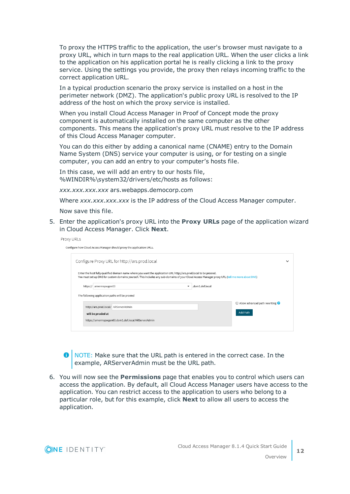To proxy the HTTPS traffic to the application, the user's browser must navigate to a proxy URL, which in turn maps to the real application URL. When the user clicks a link to the application on his application portal he is really clicking a link to the proxy service. Using the settings you provide, the proxy then relays incoming traffic to the correct application URL.

In a typical production scenario the proxy service is installed on a host in the perimeter network (DMZ). The application's public proxy URL is resolved to the IP address of the host on which the proxy service is installed.

When you install Cloud Access Manager in Proof of Concept mode the proxy component is automatically installed on the same computer as the other components. This means the application's proxy URL must resolve to the IP address of this Cloud Access Manager computer.

You can do this either by adding a canonical name (CNAME) entry to the Domain Name System (DNS) service your computer is using, or for testing on a single computer, you can add an entry to your computer's hosts file.

In this case, we will add an entry to our hosts file, %WINDIR%\system32/drivers/etc/hosts as follows:

*xxx.xxx.xxx.xxx* ars.webapps.democorp.com

Where *xxx.xxx.xxx.xxx* is the IP address of the Cloud Access Manager computer.

Now save this file.

5. Enter the application's proxy URL into the **Proxy URLs** page of the application wizard in Cloud Access Manager. Click **Next**.

| Proxy URLs                                                                                                                                                                                                                                                           |                                             |
|----------------------------------------------------------------------------------------------------------------------------------------------------------------------------------------------------------------------------------------------------------------------|---------------------------------------------|
| Configure how Cloud Access Manager should proxy the application URLs.                                                                                                                                                                                                |                                             |
| Configure Proxy URL for http://ars.prod.local                                                                                                                                                                                                                        | $\checkmark$                                |
| Enter the host fully qualified domain name where you want the application URL http://ars.prod.local to be proxied.<br>You must set up DNS for custom domains yourself. This includes any sub-domains of your Cloud Access Manager proxy URL (tell me more about DNS) |                                             |
| .dom1.def.local<br>https:// amermspwgen03                                                                                                                                                                                                                            |                                             |
| The following application paths will be proxied                                                                                                                                                                                                                      |                                             |
| http://ars.prod.local/ ARServerAdmin                                                                                                                                                                                                                                 | $\Box$ Allow advanced path rewriting $\Box$ |
| will be proxied at                                                                                                                                                                                                                                                   | Add Path                                    |
| https://amermspwgen03.dom1.def.local/ARServerAdmin                                                                                                                                                                                                                   |                                             |
|                                                                                                                                                                                                                                                                      |                                             |
|                                                                                                                                                                                                                                                                      |                                             |

 $\bigcirc$  NOTE: Make sure that the URL path is entered in the correct case. In the example, ARServerAdmin must be the URL path.

6. You will now see the **Permissions** page that enables you to control which users can access the application. By default, all Cloud Access Manager users have access to the application. You can restrict access to the application to users who belong to a particular role, but for this example, click **Next** to allow all users to access the application.

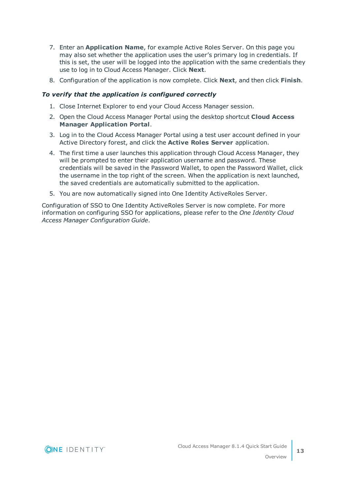- 7. Enter an **Application Name**, for example Active Roles Server. On this page you may also set whether the application uses the user's primary log in credentials. If this is set, the user will be logged into the application with the same credentials they use to log in to Cloud Access Manager. Click **Next**.
- 8. Configuration of the application is now complete. Click **Next**, and then click **Finish**.

### *To verify that the application is configured correctly*

- 1. Close Internet Explorer to end your Cloud Access Manager session.
- 2. Open the Cloud Access Manager Portal using the desktop shortcut **Cloud Access Manager Application Portal**.
- 3. Log in to the Cloud Access Manager Portal using a test user account defined in your Active Directory forest, and click the **Active Roles Server** application.
- 4. The first time a user launches this application through Cloud Access Manager, they will be prompted to enter their application username and password. These credentials will be saved in the Password Wallet, to open the Password Wallet, click the username in the top right of the screen. When the application is next launched, the saved credentials are automatically submitted to the application.
- 5. You are now automatically signed into One Identity ActiveRoles Server.

Configuration of SSO to One Identity ActiveRoles Server is now complete. For more information on configuring SSO for applications, please refer to the *One Identity Cloud Access Manager Configuration Guide*.